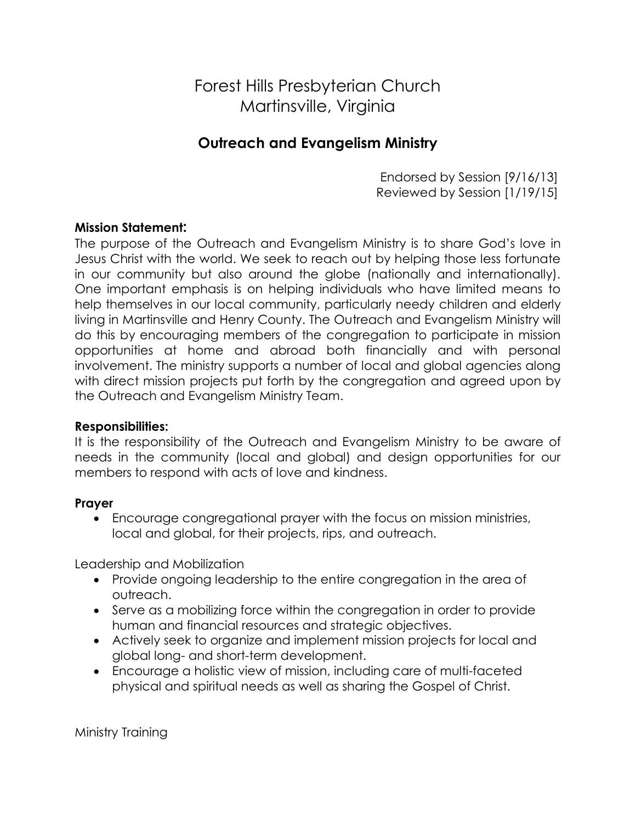# Forest Hills Presbyterian Church Martinsville, Virginia

# **Outreach and Evangelism Ministry**

Endorsed by Session [9/16/13] Reviewed by Session [1/19/15]

## **Mission Statement:**

The purpose of the Outreach and Evangelism Ministry is to share God's love in Jesus Christ with the world. We seek to reach out by helping those less fortunate in our community but also around the globe (nationally and internationally). One important emphasis is on helping individuals who have limited means to help themselves in our local community, particularly needy children and elderly living in Martinsville and Henry County. The Outreach and Evangelism Ministry will do this by encouraging members of the congregation to participate in mission opportunities at home and abroad both financially and with personal involvement. The ministry supports a number of local and global agencies along with direct mission projects put forth by the congregation and agreed upon by the Outreach and Evangelism Ministry Team.

### **Responsibilities:**

It is the responsibility of the Outreach and Evangelism Ministry to be aware of needs in the community (local and global) and design opportunities for our members to respond with acts of love and kindness.

### **Prayer**

 Encourage congregational prayer with the focus on mission ministries, local and global, for their projects, rips, and outreach.

Leadership and Mobilization

- Provide ongoing leadership to the entire congregation in the area of outreach.
- Serve as a mobilizing force within the congregation in order to provide human and financial resources and strategic objectives.
- Actively seek to organize and implement mission projects for local and global long- and short-term development.
- Encourage a holistic view of mission, including care of multi-faceted physical and spiritual needs as well as sharing the Gospel of Christ.

Ministry Training